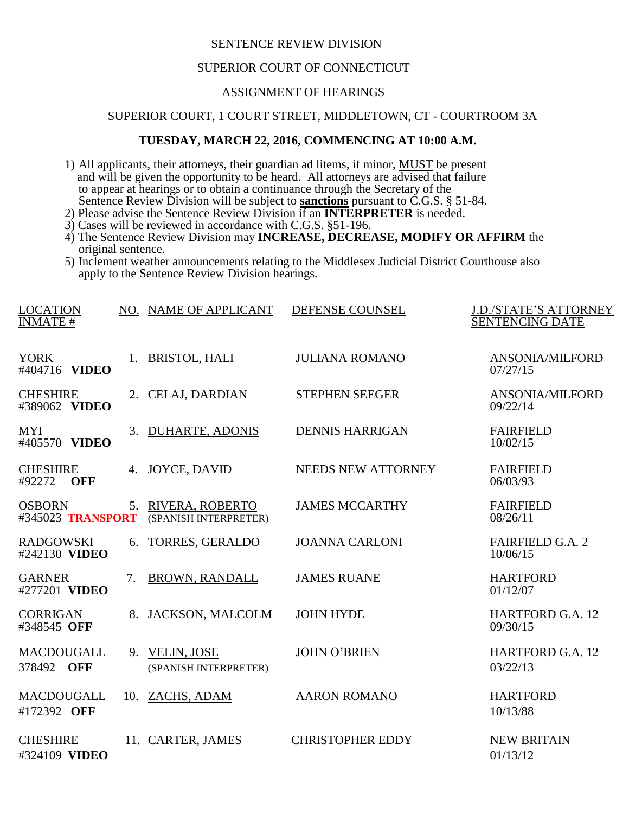### SENTENCE REVIEW DIVISION

## SUPERIOR COURT OF CONNECTICUT

# ASSIGNMENT OF HEARINGS

#### SUPERIOR COURT, 1 COURT STREET, MIDDLETOWN, CT - COURTROOM 3A

### **TUESDAY, MARCH 22, 2016, COMMENCING AT 10:00 A.M.**

1) All applicants, their attorneys, their guardian ad litems, if minor, MUST be present and will be given the opportunity to be heard. All attorneys are advised that failure to appear at hearings or to obtain a continuance through the Secretary of the Sentence Review Division will be subject to **sanctions** pursuant to C.G.S. § 51-84.

- 2) Please advise the Sentence Review Division if an **INTERPRETER** is needed.
- 3) Cases will be reviewed in accordance with C.G.S. §51-196.
- 4) The Sentence Review Division may **INCREASE, DECREASE, MODIFY OR AFFIRM** the original sentence.
- 5) Inclement weather announcements relating to the Middlesex Judicial District Courthouse also apply to the Sentence Review Division hearings.

| <b>LOCATION</b>                         |    | NO. NAME OF APPLICANT                       | DEFENSE COUNSEL         | <b>J.D./STATE'S ATTORNEY</b>        |
|-----------------------------------------|----|---------------------------------------------|-------------------------|-------------------------------------|
| <b>INMATE#</b>                          |    |                                             |                         | <b>SENTENCING DATE</b>              |
| <b>YORK</b><br>#404716 VIDEO            | 1. | <b>BRISTOL, HALI</b>                        | <b>JULIANA ROMANO</b>   | <b>ANSONIA/MILFORD</b><br>07/27/15  |
| <b>CHESHIRE</b><br>#389062 VIDEO        | 2. | <b>CELAJ, DARDIAN</b>                       | <b>STEPHEN SEEGER</b>   | <b>ANSONIA/MILFORD</b><br>09/22/14  |
| <b>MYI</b><br>#405570 VIDEO             | 3. | <b>DUHARTE, ADONIS</b>                      | <b>DENNIS HARRIGAN</b>  | <b>FAIRFIELD</b><br>10/02/15        |
| <b>CHESHIRE</b><br>#92272<br><b>OFF</b> | 4. | <b>JOYCE, DAVID</b>                         | NEEDS NEW ATTORNEY      | <b>FAIRFIELD</b><br>06/03/93        |
| <b>OSBORN</b><br>#345023 TRANSPORT      |    | 5. RIVERA, ROBERTO<br>(SPANISH INTERPRETER) | <b>JAMES MCCARTHY</b>   | <b>FAIRFIELD</b><br>08/26/11        |
| <b>RADGOWSKI</b><br>#242130 VIDEO       | 6. | <b>TORRES, GERALDO</b>                      | <b>JOANNA CARLONI</b>   | <b>FAIRFIELD G.A. 2</b><br>10/06/15 |
| <b>GARNER</b><br>#277201 VIDEO          | 7. | <b>BROWN, RANDALL</b>                       | <b>JAMES RUANE</b>      | <b>HARTFORD</b><br>01/12/07         |
| <b>CORRIGAN</b><br>#348545 OFF          | 8. | <b>JACKSON, MALCOLM</b>                     | <b>JOHN HYDE</b>        | <b>HARTFORD G.A. 12</b><br>09/30/15 |
| <b>MACDOUGALL</b><br>378492 OFF         |    | 9. VELIN, JOSE<br>(SPANISH INTERPRETER)     | <b>JOHN O'BRIEN</b>     | <b>HARTFORD G.A. 12</b><br>03/22/13 |
| MACDOUGALL<br>#172392 OFF               |    | 10. ZACHS, ADAM                             | <b>AARON ROMANO</b>     | <b>HARTFORD</b><br>10/13/88         |
| <b>CHESHIRE</b><br>#324109 VIDEO        |    | 11. CARTER, JAMES                           | <b>CHRISTOPHER EDDY</b> | <b>NEW BRITAIN</b><br>01/13/12      |